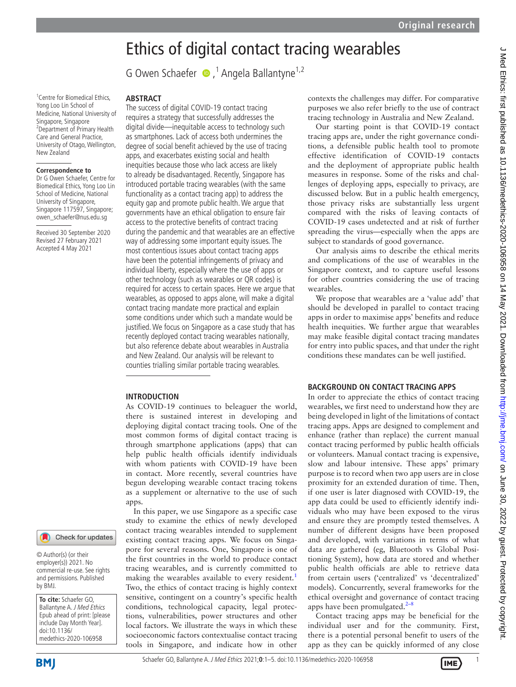# Ethics of digital contact tracing wearables

GOwen Schaefer ●,<sup>1</sup> Angela Ballantyne<sup>1,2</sup>

#### <sup>1</sup> Centre for Biomedical Ethics, Yong Loo Lin School of Medicine, National University of Singapore, Singapore <sup>2</sup> Department of Primary Health Care and General Practice, University of Otago, Wellington, New Zealand

# **Correspondence to**

Dr G Owen Schaefer, Centre for Biomedical Ethics, Yong Loo Lin School of Medicine, National University of Singapore, Singapore 117597, Singapore; owen\_schaefer@nus.edu.sg

Received 30 September 2020 Revised 27 February 2021 Accepted 4 May 2021

Check for updates

© Author(s) (or their employer(s)) 2021. No commercial re-use. See rights and permissions. Published by BMJ.

**To cite:** Schaefer GO, Ballantyne A. J Med Ethics Epub ahead of print: [please include Day Month Year]. doi:10.1136/ medethics-2020-106958

**ABSTRACT**

The success of digital COVID-19 contact tracing requires a strategy that successfully addresses the digital divide—inequitable access to technology such as smartphones. Lack of access both undermines the degree of social benefit achieved by the use of tracing apps, and exacerbates existing social and health inequities because those who lack access are likely to already be disadvantaged. Recently, Singapore has introduced portable tracing wearables (with the same functionality as a contact tracing app) to address the equity gap and promote public health. We argue that governments have an ethical obligation to ensure fair access to the protective benefits of contract tracing during the pandemic and that wearables are an effective way of addressing some important equity issues. The most contentious issues about contact tracing apps have been the potential infringements of privacy and individual liberty, especially where the use of apps or other technology (such as wearables or QR codes) is required for access to certain spaces. Here we argue that wearables, as opposed to apps alone, will make a digital contact tracing mandate more practical and explain some conditions under which such a mandate would be justified. We focus on Singapore as a case study that has recently deployed contact tracing wearables nationally, but also reference debate about wearables in Australia and New Zealand. Our analysis will be relevant to counties trialling similar portable tracing wearables.

## **INTRODUCTION**

As COVID-19 continues to beleaguer the world, there is sustained interest in developing and deploying digital contact tracing tools. One of the most common forms of digital contact tracing is through smartphone applications (apps) that can help public health officials identify individuals with whom patients with COVID-19 have been in contact. More recently, several countries have begun developing wearable contact tracing tokens as a supplement or alternative to the use of such apps.

In this paper, we use Singapore as a specific case study to examine the ethics of newly developed contact tracing wearables intended to supplement existing contact tracing apps. We focus on Singapore for several reasons. One, Singapore is one of the first countries in the world to produce contact tracing wearables, and is currently committed to making the wearables available to every resident.<sup>[1](#page-4-0)</sup> Two, the ethics of contact tracing is highly context sensitive, contingent on a country's specific health conditions, technological capacity, legal protections, vulnerabilities, power structures and other local factors. We illustrate the ways in which these socioeconomic factors contextualise contact tracing tools in Singapore, and indicate how in other

contexts the challenges may differ. For comparative purposes we also refer briefly to the use of contract tracing technology in Australia and New Zealand.

Our starting point is that COVID-19 contact tracing apps are, under the right governance conditions, a defensible public health tool to promote effective identification of COVID-19 contacts and the deployment of appropriate public health measures in response. Some of the risks and challenges of deploying apps, especially to privacy, are discussed below. But in a public health emergency, those privacy risks are substantially less urgent compared with the risks of leaving contacts of COVID-19 cases undetected and at risk of further spreading the virus—especially when the apps are subject to standards of good governance.

Our analysis aims to describe the ethical merits and complications of the use of wearables in the Singapore context, and to capture useful lessons for other countries considering the use of tracing wearables.

We propose that wearables are a 'value add' that should be developed in parallel to contact tracing apps in order to maximise apps' benefits and reduce health inequities. We further argue that wearables may make feasible digital contact tracing mandates for entry into public spaces, and that under the right conditions these mandates can be well justified.

## **BACKGROUND ON CONTACT TRACING APPS**

In order to appreciate the ethics of contact tracing wearables, we first need to understand how they are being developed in light of the limitations of contact tracing apps. Apps are designed to complement and enhance (rather than replace) the current manual contact tracing performed by public health officials or volunteers. Manual contact tracing is expensive, slow and labour intensive. These apps' primary purpose is to record when two app users are in close proximity for an extended duration of time. Then, if one user is later diagnosed with COVID-19, the app data could be used to efficiently identify individuals who may have been exposed to the virus and ensure they are promptly tested themselves. A number of different designs have been proposed and developed, with variations in terms of what data are gathered (eg, Bluetooth vs Global Positioning System), how data are stored and whether public health officials are able to retrieve data from certain users ('centralized' vs 'decentralized' models). Concurrently, several frameworks for the ethical oversight and governance of contact tracing apps have been promulgated. $2-8$ 

Contact tracing apps may be beneficial for the individual user and for the community. First, there is a potential personal benefit to users of the app as they can be quickly informed of any close

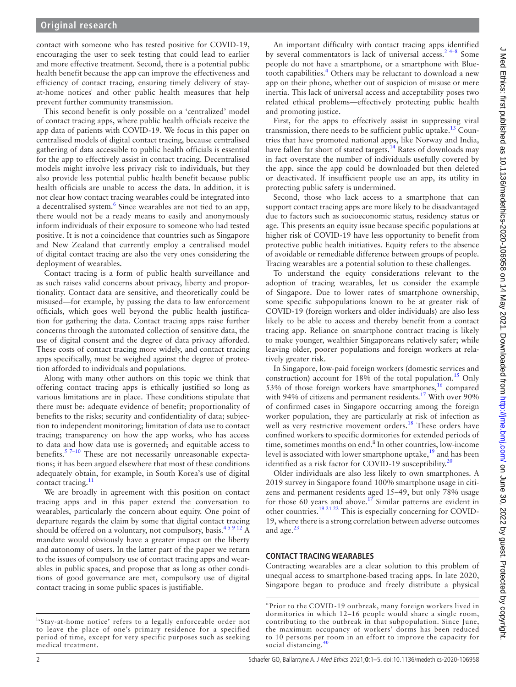contact with someone who has tested positive for COVID-19, encouraging the user to seek testing that could lead to earlier and more effective treatment. Second, there is a potential public health benefit because the app can improve the effectiveness and efficiency of contact tracing, ensuring timely delivery of stayat-home notices<sup>i</sup> and other public health measures that help prevent further community transmission.

This second benefit is only possible on a 'centralized' model of contact tracing apps, where public health officials receive the app data of patients with COVID-19. We focus in this paper on centralised models of digital contact tracing, because centralised gathering of data accessible to public health officials is essential for the app to effectively assist in contact tracing. Decentralised models might involve less privacy risk to individuals, but they also provide less potential public health benefit because public health officials are unable to access the data. In addition, it is not clear how contact tracing wearables could be integrated into a decentralised system.<sup>[6](#page-4-2)</sup> Since wearables are not tied to an app, there would not be a ready means to easily and anonymously inform individuals of their exposure to someone who had tested positive. It is not a coincidence that countries such as Singapore and New Zealand that currently employ a centralised model of digital contact tracing are also the very ones considering the deployment of wearables.

Contact tracing is a form of public health surveillance and as such raises valid concerns about privacy, liberty and proportionality. Contact data are sensitive, and theoretically could be misused—for example, by passing the data to law enforcement officials, which goes well beyond the public health justification for gathering the data. Contact tracing apps raise further concerns through the automated collection of sensitive data, the use of digital consent and the degree of data privacy afforded. These costs of contact tracing more widely, and contact tracing apps specifically, must be weighed against the degree of protection afforded to individuals and populations.

Along with many other authors on this topic we think that offering contact tracing apps is ethically justified so long as various limitations are in place. These conditions stipulate that there must be: adequate evidence of benefit; proportionality of benefits to the risks; security and confidentiality of data; subjection to independent monitoring; limitation of data use to contact tracing; transparency on how the app works, who has access to data and how data use is governed; and equitable access to benefits. $57-10$  These are not necessarily unreasonable expectations; it has been argued elsewhere that most of these conditions adequately obtain, for example, in South Korea's use of digital contact tracing.<sup>[11](#page-4-4)</sup>

We are broadly in agreement with this position on contact tracing apps and in this paper extend the conversation to wearables, particularly the concern about equity. One point of departure regards the claim by some that digital contact tracing should be offered on a voluntary, not compulsory, basis.<sup>45912</sup> A mandate would obviously have a greater impact on the liberty and autonomy of users. In the latter part of the paper we return to the issues of compulsory use of contact tracing apps and wearables in public spaces, and propose that as long as other conditions of good governance are met, compulsory use of digital contact tracing in some public spaces is justifiable.

An important difficulty with contact tracing apps identified by several commentators is lack of universal access.<sup>24-8</sup> Some people do not have a smartphone, or a smartphone with Blue-tooth capabilities.<sup>[4](#page-4-5)</sup> Others may be reluctant to download a new app on their phone, whether out of suspicion of misuse or mere inertia. This lack of universal access and acceptability poses two related ethical problems—effectively protecting public health and promoting justice.

First, for the apps to effectively assist in suppressing viral transmission, there needs to be sufficient public uptake.<sup>13</sup> Countries that have promoted national apps, like Norway and India, have fallen far short of stated targets.<sup>14</sup> Rates of downloads may in fact overstate the number of individuals usefully covered by the app, since the app could be downloaded but then deleted or deactivated. If insufficient people use an app, its utility in protecting public safety is undermined.

Second, those who lack access to a smartphone that can support contact tracing apps are more likely to be disadvantaged due to factors such as socioeconomic status, residency status or age. This presents an equity issue because specific populations at higher risk of COVID-19 have less opportunity to benefit from protective public health initiatives. Equity refers to the absence of avoidable or remediable difference between groups of people. Tracing wearables are a potential solution to these challenges.

To understand the equity considerations relevant to the adoption of tracing wearables, let us consider the example of Singapore. Due to lower rates of smartphone ownership, some specific subpopulations known to be at greater risk of COVID-19 (foreign workers and older individuals) are also less likely to be able to access and thereby benefit from a contact tracing app. Reliance on smartphone contract tracing is likely to make younger, wealthier Singaporeans relatively safer; while leaving older, poorer populations and foreign workers at relatively greater risk.

In Singapore, low-paid foreign workers (domestic services and construction) account for 18% of the total population.<sup>15</sup> Only 53% of those foreign workers have smartphones, $16$  compared with 94% of citizens and permanent residents.<sup>17</sup> With over 90% of confirmed cases in Singapore occurring among the foreign worker population, they are particularly at risk of infection as well as very restrictive movement orders.<sup>[18](#page-4-11)</sup> These orders have confined workers to specific dormitories for extended periods of time, sometimes months on end.<sup>ii</sup> In other countries, low-income level is associated with lower smartphone uptake, $19$  and has been identified as a risk factor for COVID-19 susceptibility.<sup>[20](#page-4-13)</sup>

Older individuals are also less likely to own smartphones. A 2019 survey in Singapore found 100% smartphone usage in citizens and permanent residents aged 15–49, but only 78% usage for those 60 years and above.<sup>17</sup> Similar patterns are evident in other countries.[19 21 22](#page-4-12) This is especially concerning for COVID-19, where there is a strong correlation between adverse outcomes and age. $^{23}$  $^{23}$  $^{23}$ 

# **CONTACT TRACING WEARABLES**

Contracting wearables are a clear solution to this problem of unequal access to smartphone-based tracing apps. In late 2020, Singapore began to produce and freely distribute a physical

i 'Stay-at-home notice' refers to a legally enforceable order not to leave the place of one's primary residence for a specified period of time, except for very specific purposes such as seeking medical treatment.

iiPrior to the COVID-19 outbreak, many foreign workers lived in dormitories in which 12–16 people would share a single room, contributing to the outbreak in that subpopulation. Since June, the maximum occupancy of workers' dorms has been reduced to 10 persons per room in an effort to improve the capacity for social distancing.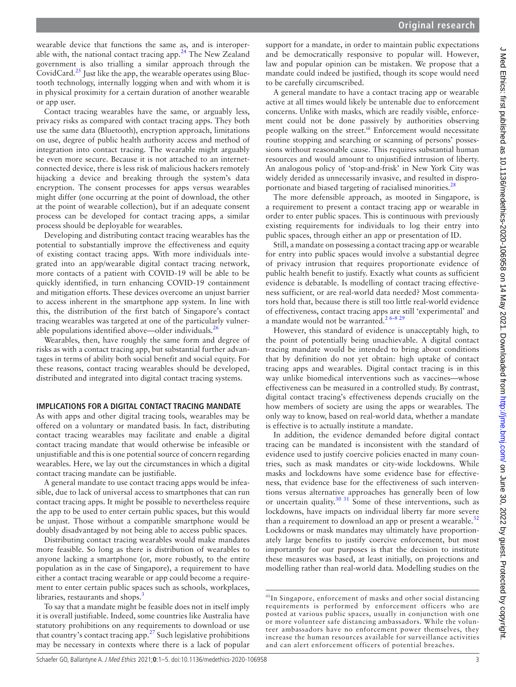wearable device that functions the same as, and is interoperable with, the national contact tracing app. $24$  The New Zealand government is also trialling a similar approach through the CovidCard.<sup>25</sup> Just like the app, the wearable operates using Bluetooth technology, internally logging when and with whom it is in physical proximity for a certain duration of another wearable or app user.

Contact tracing wearables have the same, or arguably less, privacy risks as compared with contact tracing apps. They both use the same data (Bluetooth), encryption approach, limitations on use, degree of public health authority access and method of integration into contact tracing. The wearable might arguably be even more secure. Because it is not attached to an internetconnected device, there is less risk of malicious hackers remotely hijacking a device and breaking through the system's data encryption. The consent processes for apps versus wearables might differ (one occurring at the point of download, the other at the point of wearable collection), but if an adequate consent process can be developed for contact tracing apps, a similar process should be deployable for wearables.

Developing and distributing contact tracing wearables has the potential to substantially improve the effectiveness and equity of existing contact tracing apps. With more individuals integrated into an app/wearable digital contact tracing network, more contacts of a patient with COVID-19 will be able to be quickly identified, in turn enhancing COVID-19 containment and mitigation efforts. These devices overcome an unjust barrier to access inherent in the smartphone app system. In line with this, the distribution of the first batch of Singapore's contact tracing wearables was targeted at one of the particularly vulnerable populations identified above—older individuals.<sup>26</sup>

Wearables, then, have roughly the same form and degree of risks as with a contact tracing app, but substantial further advantages in terms of ability both social benefit and social equity. For these reasons, contact tracing wearables should be developed, distributed and integrated into digital contact tracing systems.

## **IMPLICATIONS FOR A DIGITAL CONTACT TRACING MANDATE**

As with apps and other digital tracing tools, wearables may be offered on a voluntary or mandated basis. In fact, distributing contact tracing wearables may facilitate and enable a digital contact tracing mandate that would otherwise be infeasible or unjustifiable and this is one potential source of concern regarding wearables. Here, we lay out the circumstances in which a digital contact tracing mandate can be justifiable.

A general mandate to use contact tracing apps would be infeasible, due to lack of universal access to smartphones that can run contact tracing apps. It might be possible to nevertheless require the app to be used to enter certain public spaces, but this would be unjust. Those without a compatible smartphone would be doubly disadvantaged by not being able to access public spaces.

Distributing contact tracing wearables would make mandates more feasible. So long as there is distribution of wearables to anyone lacking a smartphone (or, more robustly, to the entire population as in the case of Singapore), a requirement to have either a contact tracing wearable or app could become a requirement to enter certain public spaces such as schools, workplaces, libraries, restaurants and shops.<sup>3</sup>

To say that a mandate might be feasible does not in itself imply it is overall justifiable. Indeed, some countries like Australia have statutory prohibitions on any requirements to download or use that country's contact tracing app.<sup>[27](#page-4-20)</sup> Such legislative prohibitions may be necessary in contexts where there is a lack of popular

support for a mandate, in order to maintain public expectations and be democratically responsive to popular will. However, law and popular opinion can be mistaken. We propose that a mandate could indeed be justified, though its scope would need to be carefully circumscribed.

A general mandate to have a contact tracing app or wearable active at all times would likely be untenable due to enforcement concerns. Unlike with masks, which are readily visible, enforcement could not be done passively by authorities observing people walking on the street.<sup>iii</sup> Enforcement would necessitate routine stopping and searching or scanning of persons' possessions without reasonable cause. This requires substantial human resources and would amount to unjustified intrusion of liberty. An analogous policy of 'stop-and-frisk' in New York City was widely derided as unnecessarily invasive, and resulted in dispro-portionate and biased targeting of racialised minorities.<sup>[28](#page-4-21)</sup>

The more defensible approach, as mooted in Singapore, is a requirement to present a contact tracing app or wearable in order to enter public spaces. This is continuous with previously existing requirements for individuals to log their entry into public spaces, through either an app or presentation of ID.

Still, a mandate on possessing a contact tracing app or wearable for entry into public spaces would involve a substantial degree of privacy intrusion that requires proportionate evidence of public health benefit to justify. Exactly what counts as sufficient evidence is debatable. Is modelling of contact tracing effectiveness sufficient, or are real-world data needed? Most commentators hold that, because there is still too little real-world evidence of effectiveness, contact tracing apps are still 'experimental' and a mandate would not be warranted.<sup>2 6-8 29</sup>

However, this standard of evidence is unacceptably high, to the point of potentially being unachievable. A digital contact tracing mandate would be intended to bring about conditions that by definition do not yet obtain: high uptake of contact tracing apps and wearables. Digital contact tracing is in this way unlike biomedical interventions such as vaccines—whose effectiveness can be measured in a controlled study. By contrast, digital contact tracing's effectiveness depends crucially on the how members of society are using the apps or wearables. The only way to know, based on real-world data, whether a mandate is effective is to actually institute a mandate.

In addition, the evidence demanded before digital contact tracing can be mandated is inconsistent with the standard of evidence used to justify coercive policies enacted in many countries, such as mask mandates or city-wide lockdowns. While masks and lockdowns have some evidence base for effectiveness, that evidence base for the effectiveness of such interventions versus alternative approaches has generally been of low or uncertain quality[.30 31](#page-4-22) Some of these interventions, such as lockdowns, have impacts on individual liberty far more severe than a requirement to download an app or present a wearable.<sup>[32](#page-4-23)</sup> Lockdowns or mask mandates may ultimately have proportionately large benefits to justify coercive enforcement, but most importantly for our purposes is that the decision to institute these measures was based, at least initially, on projections and modelling rather than real-world data. Modelling studies on the

iiiIn Singapore, enforcement of masks and other social distancing requirements is performed by enforcement officers who are posted at various public spaces, usually in conjunction with one or more volunteer safe distancing ambassadors. While the volunteer ambassadors have no enforcement power themselves, they increase the human resources available for surveillance activities and can alert enforcement officers of potential breaches.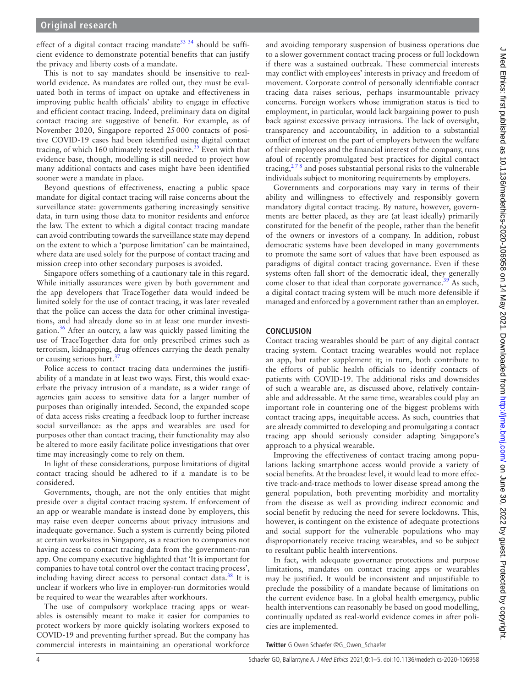effect of a digital contact tracing mandate<sup>33 34</sup> should be sufficient evidence to demonstrate potential benefits that can justify the privacy and liberty costs of a mandate.

This is not to say mandates should be insensitive to realworld evidence. As mandates are rolled out, they must be evaluated both in terms of impact on uptake and effectiveness in improving public health officials' ability to engage in effective and efficient contact tracing. Indeed, preliminary data on digital contact tracing are suggestive of benefit. For example, as of November 2020, Singapore reported 25000 contacts of positive COVID-19 cases had been identified using digital contact tracing, of which 160 ultimately tested positive.<sup>[35](#page-4-25)</sup> Even with that evidence base, though, modelling is still needed to project how many additional contacts and cases might have been identified sooner were a mandate in place.

Beyond questions of effectiveness, enacting a public space mandate for digital contact tracing will raise concerns about the surveillance state: governments gathering increasingly sensitive data, in turn using those data to monitor residents and enforce the law. The extent to which a digital contact tracing mandate can avoid contributing towards the surveillance state may depend on the extent to which a 'purpose limitation' can be maintained, where data are used solely for the purpose of contact tracing and mission creep into other secondary purposes is avoided.

Singapore offers something of a cautionary tale in this regard. While initially assurances were given by both government and the app developers that TraceTogether data would indeed be limited solely for the use of contact tracing, it was later revealed that the police can access the data for other criminal investigations, and had already done so in at least one murder investigation.[36](#page-4-26) After an outcry, a law was quickly passed limiting the use of TraceTogether data for only prescribed crimes such as terrorism, kidnapping, drug offences carrying the death penalty or causing serious hurt.<sup>37</sup>

Police access to contact tracing data undermines the justifiability of a mandate in at least two ways. First, this would exacerbate the privacy intrusion of a mandate, as a wider range of agencies gain access to sensitive data for a larger number of purposes than originally intended. Second, the expanded scope of data access risks creating a feedback loop to further increase social surveillance: as the apps and wearables are used for purposes other than contact tracing, their functionality may also be altered to more easily facilitate police investigations that over time may increasingly come to rely on them.

In light of these considerations, purpose limitations of digital contact tracing should be adhered to if a mandate is to be considered.

Governments, though, are not the only entities that might preside over a digital contact tracing system. If enforcement of an app or wearable mandate is instead done by employers, this may raise even deeper concerns about privacy intrusions and inadequate governance. Such a system is currently being piloted at certain worksites in Singapore, as a reaction to companies not having access to contact tracing data from the government-run app. One company executive highlighted that 'It is important for companies to have total control over the contact tracing process', including having direct access to personal contact data.<sup>38</sup> It is unclear if workers who live in employer-run dormitories would be required to wear the wearables after workhours.

The use of compulsory workplace tracing apps or wearables is ostensibly meant to make it easier for companies to protect workers by more quickly isolating workers exposed to COVID-19 and preventing further spread. But the company has commercial interests in maintaining an operational workforce

and avoiding temporary suspension of business operations due to a slower government contact tracing process or full lockdown if there was a sustained outbreak. These commercial interests may conflict with employees' interests in privacy and freedom of movement. Corporate control of personally identifiable contact tracing data raises serious, perhaps insurmountable privacy concerns. Foreign workers whose immigration status is tied to employment, in particular, would lack bargaining power to push back against excessive privacy intrusions. The lack of oversight, transparency and accountability, in addition to a substantial conflict of interest on the part of employers between the welfare of their employees and the financial interest of the company, runs afoul of recently promulgated best practices for digital contact tracing, $278$  and poses substantial personal risks to the vulnerable individuals subject to monitoring requirements by employers.

Governments and corporations may vary in terms of their ability and willingness to effectively and responsibly govern mandatory digital contact tracing. By nature, however, governments are better placed, as they are (at least ideally) primarily constituted for the benefit of the people, rather than the benefit of the owners or investors of a company. In addition, robust democratic systems have been developed in many governments to promote the same sort of values that have been espoused as paradigms of digital contact tracing governance. Even if these systems often fall short of the democratic ideal, they generally come closer to that ideal than corporate governance.<sup>39</sup> As such, a digital contact tracing system will be much more defensible if managed and enforced by a government rather than an employer.

# **CONCLUSION**

Contact tracing wearables should be part of any digital contact tracing system. Contact tracing wearables would not replace an app, but rather supplement it; in turn, both contribute to the efforts of public health officials to identify contacts of patients with COVID-19. The additional risks and downsides of such a wearable are, as discussed above, relatively containable and addressable. At the same time, wearables could play an important role in countering one of the biggest problems with contact tracing apps, inequitable access. As such, countries that are already committed to developing and promulgating a contact tracing app should seriously consider adapting Singapore's approach to a physical wearable.

Improving the effectiveness of contact tracing among populations lacking smartphone access would provide a variety of social benefits. At the broadest level, it would lead to more effective track-and-trace methods to lower disease spread among the general population, both preventing morbidity and mortality from the disease as well as providing indirect economic and social benefit by reducing the need for severe lockdowns. This, however, is contingent on the existence of adequate protections and social support for the vulnerable populations who may disproportionately receive tracing wearables, and so be subject to resultant public health interventions.

In fact, with adequate governance protections and purpose limitations, mandates on contact tracing apps or wearables may be justified. It would be inconsistent and unjustifiable to preclude the possibility of a mandate because of limitations on the current evidence base. In a global health emergency, public health interventions can reasonably be based on good modelling, continually updated as real-world evidence comes in after policies are implemented.

**Twitter** G Owen Schaefer [@G\\_Owen\\_Schaefer](https://twitter.com/G_Owen_Schaefer)